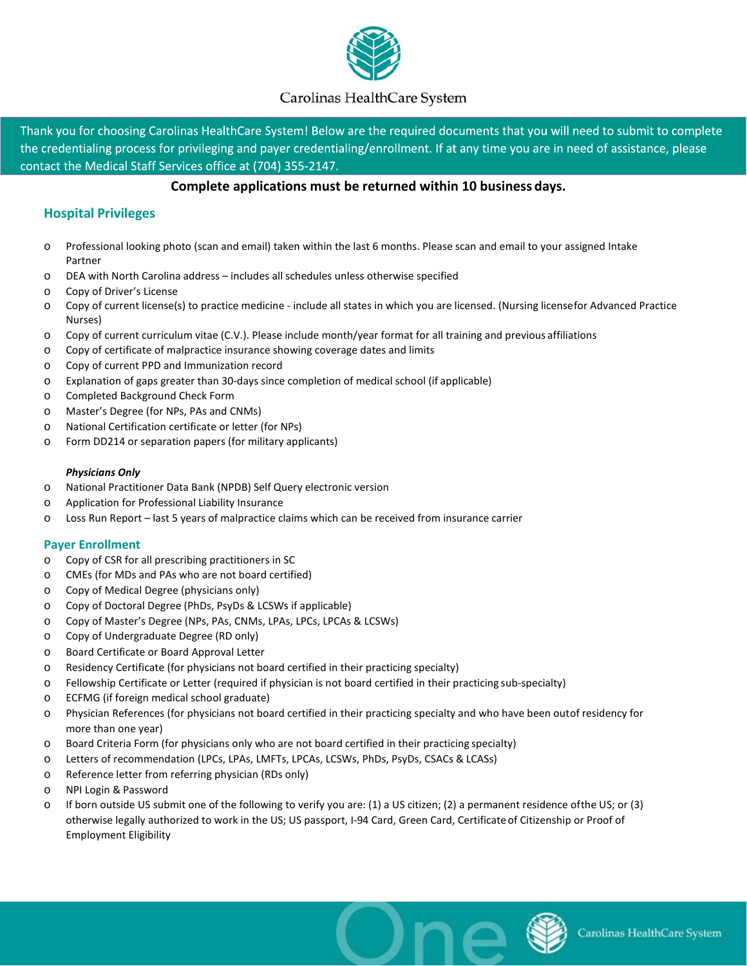

# Carolinas HealthCare System

Thank you for choosing Carolinas HealthCare System! Below are the required documents that you will need to submit to complete the credentialing process for privileging and payer credentialing/enrollment. If at any time you are in need of assistance, please contact the Medical Staff Services office at (704) 355-2147.

### **Complete applications must be returned within 10 business days.**

## **Hospital Privileges**

- o Professional looking photo (scan and email) taken within the last 6 months. Please scan and email to your assigned Intake Partner
- o DEA with North Carolina address includes all schedules unless otherwise specified
- o Copy of Driver's License
- o Copy of current license(s) to practice medicine include all states in which you are licensed. (Nursing licensefor Advanced Practice Nurses)
- o Copy of current curriculum vitae (C.V.). Please include month/year format for all training and previous affiliations
- o Copy of certificate of malpractice insurance showing coverage dates and limits
- o Copy of current PPD and Immunization record
- o Explanation of gaps greater than 30-days since completion of medical school (if applicable)
- o Completed Background Check Form
- o Master's Degree (for NPs, PAs and CNMs)
- o National Certification certificate or letter (for NPs)
- o Form DD214 or separation papers (for military applicants)

#### *Physicians Only*

- o National Practitioner Data Bank (NPDB) Self Query electronic version
- o Application for Professional Liability Insurance
- o Loss Run Report last 5 years of malpractice claims which can be received from insurance carrier

#### **Payer Enrollment**

- o Copy of CSR for all prescribing practitioners in SC
- o CMEs (for MDs and PAs who are not board certified)
- o Copy of Medical Degree (physicians only)
- o Copy of Doctoral Degree (PhDs, PsyDs & LCSWs if applicable)
- o Copy of Master's Degree (NPs, PAs, CNMs, LPAs, LPCs, LPCAs & LCSWs)
- o Copy of Undergraduate Degree (RD only)
- o Board Certificate or Board Approval Letter
- o Residency Certificate (for physicians not board certified in their practicing specialty)
- o Fellowship Certificate or Letter (required if physician is not board certified in their practicing sub-specialty)
- o ECFMG (if foreign medical school graduate)
- o Physician References (for physicians not board certified in their practicing specialty and who have been outof residency for more than one year)
- o Board Criteria Form (for physicians only who are not board certified in their practicing specialty)
- o Letters of recommendation (LPCs, LPAs, LMFTs, LPCAs, LCSWs, PhDs, PsyDs, CSACs & LCASs)
- o Reference letter from referring physician (RDs only)
- o NPI Login & Password
- o If born outside US submit one of the following to verify you are: (1) a US citizen; (2) a permanent residence ofthe US; or (3) otherwise legally authorized to work in the US; US passport, I-94 Card, Green Card, Certificate of Citizenship or Proof of Employment Eligibility